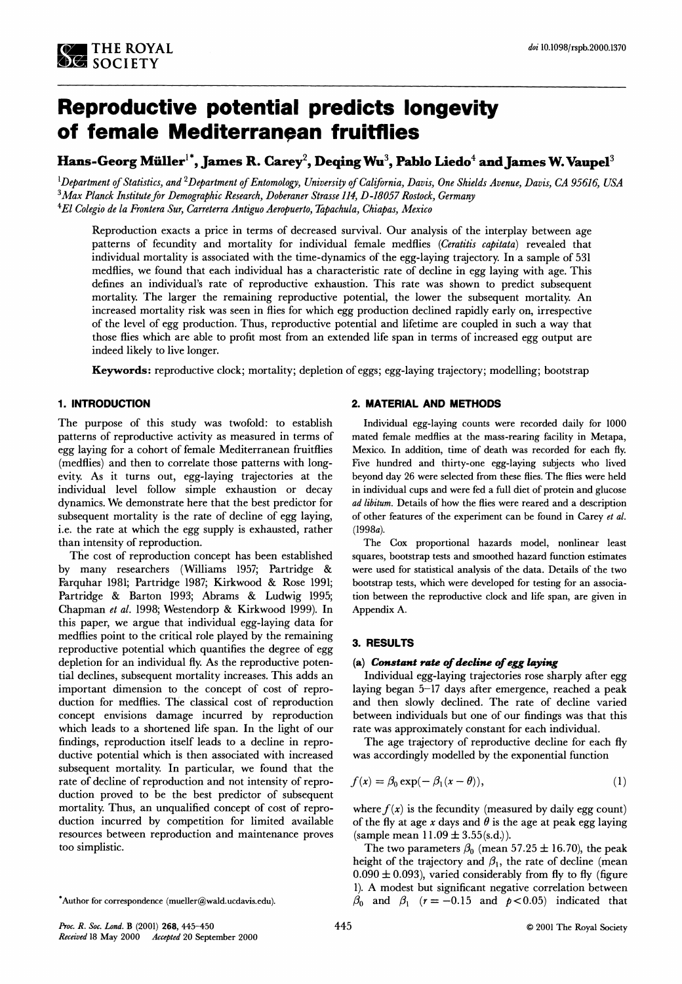# **Reproductive potential predicts longevity of female Mediterranean fruitflies**

# Hans-Georg Müller<sup>1\*</sup>, James R. Carey<sup>2</sup>, Deqing Wu<sup>3</sup>, Pablo Liedo<sup>4</sup> and James W. Vaupel<sup>3</sup>

**lDepartment of Statistics, and 2Department of Entomology, University of California, Davis, One Shields Avenue, Davis, CA 95616, USA**  <sup>3</sup> Max Planck Institute for Demographic Research, Doberaner Strasse 114, D-18057 Rostock, Germany **4El Colegio de la Frontera Sur, Carreterra Antiguo Aeropuerto, Eapachula, Chiapas, Mexico** 

**Reproduction exacts a price in terms of decreased survival. Our analysis of the interplay between age**  patterns of fecundity and mortality for individual female medflies (Ceratitis capitata) revealed that **individual mortality is associated with the time-dynamics of the egg-laying trajectory. In a sample of 531 medflies, we found that each individual has a characteristic rate of decline in egg laying with age. This defines an individual's rate of reproductive exhaustion. This rate was shown to predict subsequent mortality. The larger the remaining reproductive potential, the lower the subsequent mortality. An increased mortality risk was seen in flies for which egg production declined rapldly early on, lrrespective of the level of egg production. Thus, reproductive potential and lifetime are coupled in such a way that those flies which are able to profit most from an extended life span in terms of increased egg output are indeed likely to live longer.** 

**Keywords: reproductive clock; mortality; depletion of eggs; egg-laying trajectory; modelling; bootstrap** 

# **1. INTRODUCTION**

**The purpose of this study was twofold: to establish patterns of reproductive activity as measured in terms of egg laying for a cohort of female Mediterranean fruitflies (medflies) and then to correlate those patterns with longevity. As it turns out, egg-laying trajectories at the individual level follow simple exhaustion or decay dynamics. We demonstrate here that the best predictor for subsequent mortality is the rate of decline of egg laying, i.e. the rate at which the egg supply is exhausted, rather than intensity of reproduction.** 

**The cost of reproduction concept has been established by many researchers (Williams 1957; Partridge & Farquhar 1981; Partridge 1987; Kirkwood & Rose 1991; Partridge & Barton 1993; Abrams & Ludwig 1995; Chapman et al. 1998; Westendorp & Kirkwood 1999). In this paper, we argue that individual egg-laying data for medflies point to the critical role played by the remaining reproductive potential which quantifies the degree of egg depletion for an individual fly. As the reproductive potential declines, subsequent mortality increases. This adds an important dimension to the concept of cost of reproduction for medflies. The classical cost of reproduction concept envisions damage incurred by reproduction which leads to a shortened life span. In the light of our findings, reproduction itself leads to a decline in reproductive potential which is then associated with increased subsequent mortality. In particular, we found that the rate of decline of reproduction and not intensity of reproduction proved to be the best predictor of subsequent mortality. Thus, an unqualified concept of cost of reproduction incurred by competition for limited available resources between reproduction and maintenance proves**   $\mathbf{to}\n$  **o** simplistic.

#### **2. MATERIAL AND METHODS**

**Individual egg-laying counts were recorded daily for 1000 mated female medflies at the mass-rearing facility in Metapa, Mexico. In addition, time of death was recorded for each fly. Five hundred and thirty-one egg-laying subjects who lived beyond day 26 were selected from these flies. The flies were held in individual cups and were fed a full diet of protein and glucose ad libitum. Details of how the flies were reared and a description of other features of the experiment can be found in Carey et al. (1998a).** 

**The Cox proportional hazards model, nonlinear least squares, bootstrap tests and smoothed hazard function estimates were used for statistical analysis of the data. Details of the two bootstrap tests, which were developed for testing for an association between the reproductive clock and life span, are given in Appendix A.** 

#### **3. RESULTS**

#### **(a) Constant rate of decline of egg laying**

**Individual egg-laying trajectories rose sharply after egg laying began 5-17 days after emergence, reached a peak and then slowly declined. The rate of decline varied between individuals but one of our findings was that this rate was approximately constant for each individual.** 

**The age trajectory of reproductive decline for each fly was accordingly modelled by the exponential function** 

$$
f(x) = \beta_0 \exp(-\beta_1(x-\theta)), \qquad (1)
$$

where  $f(x)$  is the fecundity (measured by daily egg count) of the fly at age  $x$  days and  $\theta$  is the age at peak egg laying **(sample mean 11.09 i 3.55(s.d.)).** 

The two parameters  $\beta_0$  (mean 57.25  $\pm$  16.70), the peak height of the trajectory and  $\beta_1$ , the rate of decline (mean  $0.090 \pm 0.093$ ), varied considerably from fly to fly (figure **1). A modest but significant negative correlation between**   $\beta_0$  and  $\beta_1$  ( $r = -0.15$  and  $p < 0.05$ ) indicated that

<sup>\*</sup>Author for correspondence (mueller@wald.ucdavis.edu).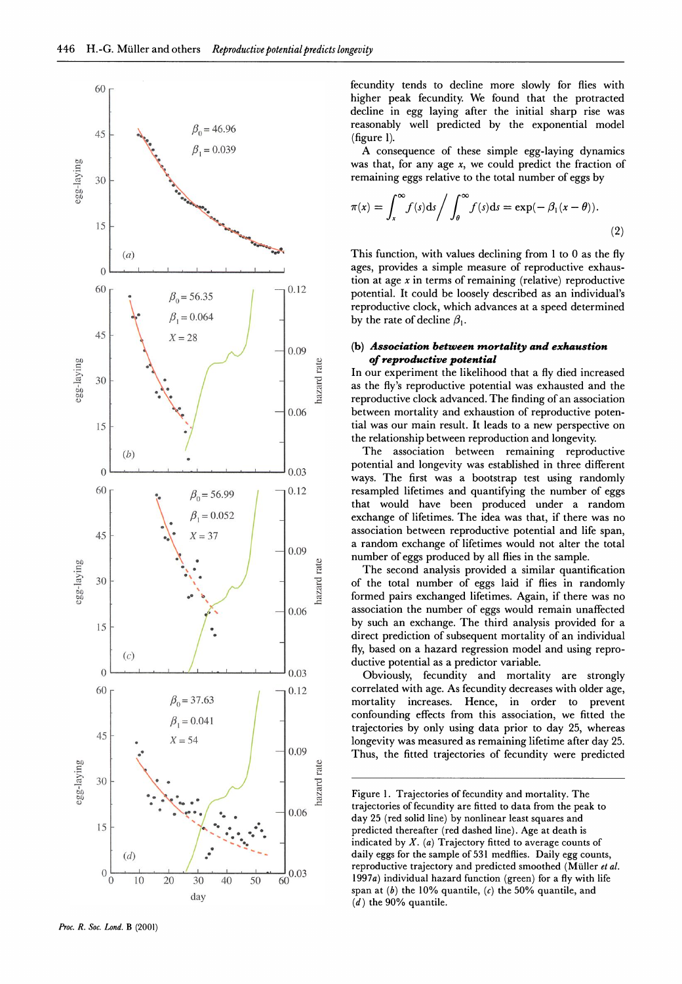

**60- fecundity tends to decline more slowly for flies with higher peak fecundity. We found that the protracted - decline in egg laying after the initial sharp rise was**   $45$  **b**<sub>2</sub>  $\mu$ <sub>2</sub>  $\beta$ <sub>0</sub>=46.96 **reasonably well predicted by the exponential model (figure 1).** 

 $\beta_1 = 0.039$  A consequence of these simple egg-laying dynamics was that, for any age  $x$ , we could predict the fraction of **30 \ remaining eggs relative to the total number of eggs by** 

$$
\pi(x) = \int_{x}^{\infty} f(s) \, ds \bigg/ \int_{\theta}^{\infty} f(s) \, ds = \exp(-\beta_1(x-\theta)).
$$
\n(2)

This function, with values declining from 1 to 0 as the fly **0 . , . , . , . , . , . , ages, provides a simple measure of reproductivexhaustion at age x in terms of remaining (relative) reproductive**   $\begin{bmatrix} 60 \\ 1 \end{bmatrix}$   $\begin{bmatrix} 40 \\ 0 \end{bmatrix}$   $\begin{bmatrix} 60 \\ 0 \end{bmatrix}$   $\begin{bmatrix} 60 \\ 0 \end{bmatrix}$   $\begin{bmatrix} 60 \\ 0 \end{bmatrix}$   $\begin{bmatrix} 60 \\ 0 \end{bmatrix}$   $\begin{bmatrix} 60 \\ 0 \end{bmatrix}$   $\begin{bmatrix} 60 \\ 0 \end{bmatrix}$   $\begin{bmatrix} 60 \\ 0 \end{bmatrix}$   $\begin{bmatrix} 60 \\ 0 \end{bmatrix}$   $\begin{bmatrix} 60 \\$ **reproductive clock, which advances at a speed determined**  $\beta_1 = 0.064$ by the rate of decline  $\beta_1$ .

# **\ ,\J \_ 009 (b) Association between mortalityand exhaustion**

**of reproductive potential**<br>
In our experiment the likelihood<br>
as the fly's reproductive potent<br>
reproductive clock advanced. T  $\begin{array}{c|c|c|c|c|c|c|c|c} \hline \searrow & \nearrow & \quad & \downarrow & \frac{1}{2} & \text{In our experiment the likelihood that a fly died increased} \ \hline \end{array}$ **.i / | as the fly's reproductive potential was exhausted and the \*** *P P P P P P s E <i>P P P P P P P P P P P P P P P <i>P P P P P P <i>P P P P P P P <i>P* between mortality and exhaustion of reproductive poten-**15 - \* / tial was our main result. It leads to a new perspective on / the relationship between reproduction and longevity.** 

(b)  $\left\langle \begin{array}{ccc} 1 & 1 \end{array} \right\rangle$  **. The association between remaining reproductive** notential and longevity was established in three different 0.03 ways. The first was a bootstrap test using randomly  $\beta_0$   $\beta_0$  = 56.99  $\beta_0$  <sup>0.12</sup> resampled lifetimes and quantifying the number of eggs  $\beta_0 = 0.052$  **that would have been produced under a random exchange of lifetimes. The idea was that if there was no \ ,8 = 0.052 1 \_ exchange of lifetimes. The idea was that, if there was no**   $45$   $X = 37$   $X = 37$  **association between reproductive potential and life span, a random exchange of lifetimes would not alter the total** 

<sup>0.09</sup><br> **a** random exchange of methics would not alter the total mumber of eggs produced by all flies in the sample.<br>
The second analysis provided a similar quanti<br>
of the total number of eggs laid if flies in ra<br>
formed p **" . / < The second analysis provided a similar quantification**   $30$   $\uparrow$   $\uparrow$   $\uparrow$   $\uparrow$   $\uparrow$   $\uparrow$   $\uparrow$  of the total number of eggs laid if flies in randomly formed pairs exchanged lifetimes. Again, if there was no 0.06 association the number of eggs would remain unaffected **1S - /-. by such an exchange. The third analysis provided for a**  direct prediction of subsequent mortality of an individual **(c) / fly, based on a hazard regression model and using repro**  *ductive potential as a predictor variable.***<br>
Obviously fecundity and mortaling** 

 $\begin{array}{ccc} 60 \\ \hline \end{array}$   $\begin{array}{ccc} 60 \\ \hline \end{array}$   $\begin{array}{ccc} 60 \\ \hline \end{array}$   $\begin{array}{ccc} 60 \\ \hline \end{array}$   $\begin{array}{ccc} 60 \\ \hline \end{array}$   $\begin{array}{ccc} 60 \\ \hline \end{array}$   $\begin{array}{ccc} 60 \\ \hline \end{array}$   $\begin{array}{ccc} 60 \\ \hline \end{array}$   $\begin{array}{ccc} 60 \\ \hline \end{array}$   $\begin{array}{ccc} 60 \\ \hline \end{array}$  mortality increases. Hence, in order to prevent confounding effects from this association, we fitted the  $\beta_1 = 0.041$   $\beta_2 = 54$   $\beta_3 = 54$   $\beta_4 = 0.041$   $\beta_5 = 54$   $\beta_6 = 0.041$   $\beta_7 = 54$   $\beta_8 = 54$   $\beta_9 = 0.041$   $\beta_1 = 0.041$   $\beta_2 = 54$   $\beta_3 = 0.041$   $\beta_7 = 0.041$   $\beta_8 = 0.041$   $\beta_9 = 0.041$   $\beta_1 = 0.041$   $\beta_2 = 0.041$   $X = 54$   $X = 54$  longevity was measured as remaining lifetime after day 25. Thus, the fitted trajectories of fecundity were predicted

Figure 1. Trajectories of fecundity and mortality. The 0.06 <sup> $\overline{ }$ </sup> trajectories of fecundity are fitted to data from the peak to day 25 (red solid line) by nonlinear least squares and indicated by  $X$ . (a) Trajectory fitted to average counts of (d) **.**  $\int$  .  $\int$  .  $\int$   $\int$   $\int$  daily eggs for the sample of 531 medflies. Daily egg counts, **1007<sup>2</sup>, individual based function (mean) for a fluxiish life**  $\frac{1007}{2}$  $\frac{0}{10}$  10 20 30 40 50 60<sup>0.03</sup> 1997a) individual hazard function (green) for a fly with life day span at (b) the 10% quantile, (c) the 50% quantile, and (d) the 90% quantile.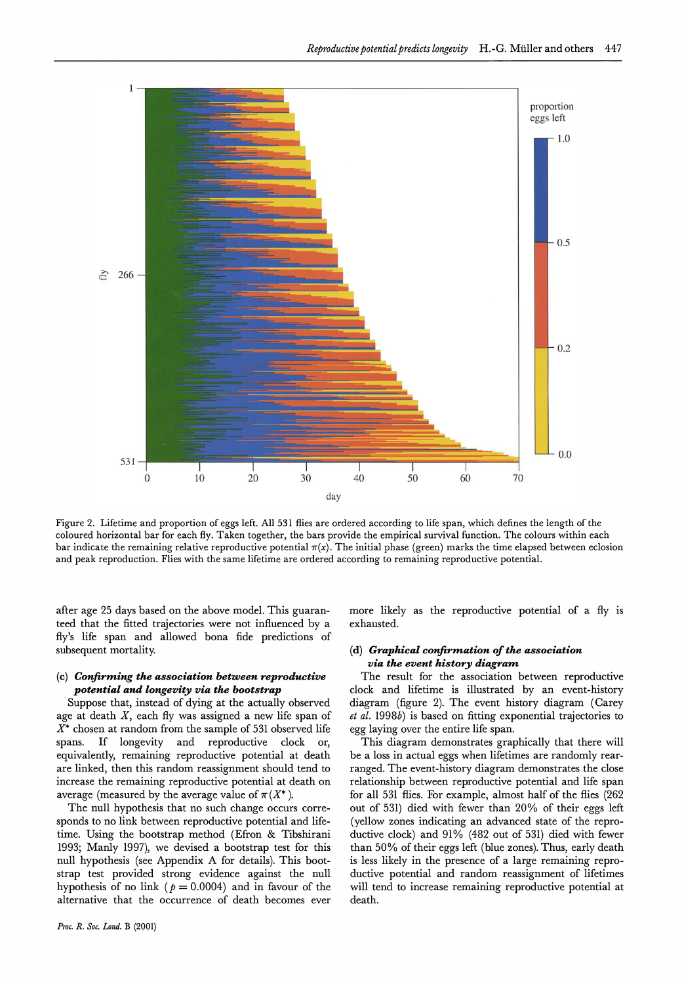

**Figure 2. Lifetime and proportion of eggs left. All 531 flies are ordered aeeording to life span, whieh defines the length of the coloured horizontal bar for eaeh fly. Taken together, the bars provide the empirical survival function. The colours within each**  bar indicate the remaining relative reproductive potential  $\pi(x)$ . The initial phase (green) marks the time elapsed between eclosion and peak reproduction. Flies with the same lifetime are ordered according to remaining reproductive potential.

**after age 25 days based on the above model. This guaranteed that the fitted trajectories were not influenced by a fly's life span and allowed bona fide predictions of subsequent mortality.** 

# **(c) Confirming the association between reproductive potential and longevity via the bootstrap**

**Suppose that, instead of dying at the actually observed age at death X, each fly was assigned a new life span of X\* chosen at random from the sample of 531 observed life spans. If longevity and reproductive clock or, equivalently, remaining reproductive potential at death are linked, then this random reassignment should tend to increase the remaining reproductive potential at death on**  average (measured by the average value of  $\pi(X^*)$ ).

**The null hypothesis that no such change occurs corresponds to no link between reproductive potential and lifetime. Using the bootstrap method (Efron & Tibshirani 1993; Manly 1997), we devised a bootstrap test for this null hypothesis (see Appendix A for details). This bootstrap test provided strong evidence against the null**  hypothesis of no link ( $p = 0.0004$ ) and in favour of the **alternative that the occurrence of death becomes ever**  **more likely as the reproductive potential of a fly is exhausted.** 

# **(d) Graphical confirmation of the association via the event history diagram**

**The result for the association between reproductive clock and lifetime is illustrated by an event-history diagram (figure 2). The event history diagram (Carey et al. 1998b) is based on fitting exponential trajectories to egg laying over the entire life span.** 

**This diagram demonstrates graphically that there will be a loss in actual eggs when lifetimes are randomly rearranged. The event-history diagram demonstrates the close relationship between reproductive potential and life span for all 531 flies. For example, almost half of the flies (262 out of 531) died with fewer than 20% of their eggs left (yellow zones indicating an advanced state of the reproductive clock) and 91% (482 out of 531) died with fewer than 50% of their eggs left (blue zones). Thus, early death is less likely in the presence of a large remaining reproductive potential and random reassignment of lifetimes will tend to increase remaining reproductive potential at death.**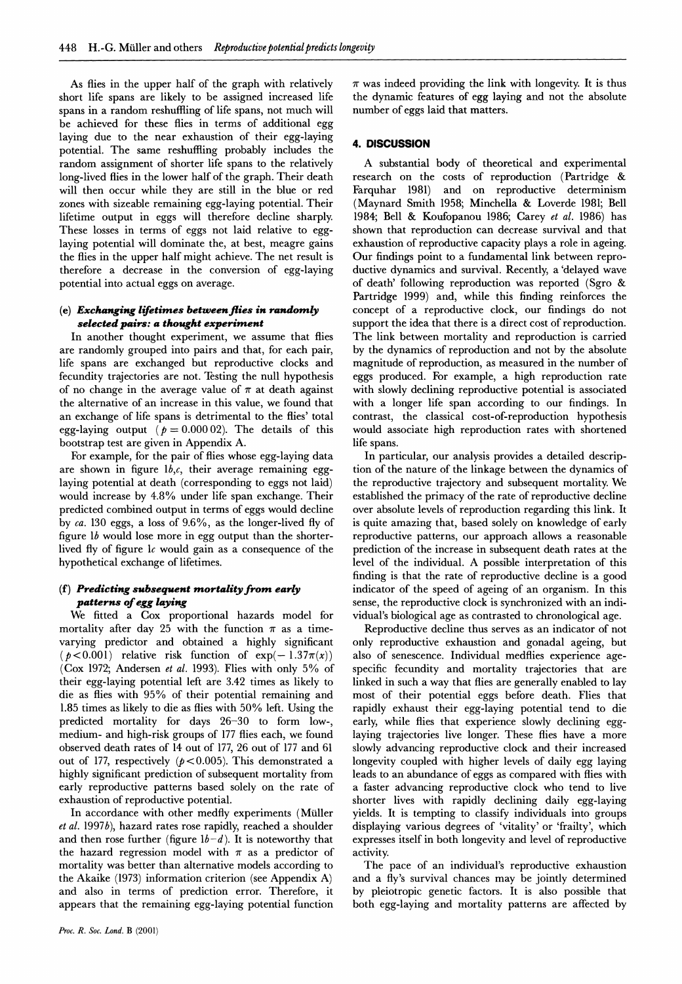**As flies in the upper half of the graph with relatively short life spans are likely to be assigned increased life spans in a random reshuffling of life spans, not much will be achieved for these flies in terms of additional egg laying due to the near exhaustion of their egg-laying potential. The same reshuffling probably includes the random assignment of shorter life spans to the relatively long-lived flies in the lower half of the graph. Their death will then occur while they are still in the blue or red zones with sizeable remaining egg-laying potential. Their lifetime output in eggs will therefore decline sharply. These losses in terms of eggs not laid relative to egglaying potential will dominate the, at best, meagre gains the flies in the upper half might achieve. The net result is therefore a decrease in the conversion of egg-laying potential into actual eggs on average.** 

# (e) Exchanging lifetimes between flies in randomly selected pairs: a thought experiment

**In another thought experiment, we assume that flies are randomly grouped into pairs and that, for each pair, life spans are exchanged but reproductive clocks and fecundity trajectories are not. Testing the null hypothesis**  of no change in the average value of  $\pi$  at death against **the alternative of an increase in this value, we found that an exchange of life spans is detrimental to the flies' total**  egg-laying output ( $p = 0.00002$ ). The details of this **bootstrap test are given in Appendix A.** 

**For example, for the pair of flies whose egg-laying data are shown in figure lb,c, their average remaining egglaying potential at death (corresponding to eggs not laid) would increase by 4.8% under life span exchange. Their predicted combined output in terms of eggs would decline by ca. 130 eggs, a loss of 9.6%, as the longer-lived fly of figure lb would lose more in egg output than the shorterlived fly of figure lc would gain as a consequence of the hypothetical exchange of lifetimes.** 

#### **(f)** Predicting subsequent mortality from early **patterns of egg laying**

**We fitted a Cox proportional hazards model for**  mortality after day 25 with the function  $\pi$  as a time**varying predictor and obtained a highly significant**   $(p<0.001)$  relative risk function of  $exp(-1.37\pi(x))$ **(Cox 1972; Andersen et al. 1993). Flies with only 5°/0 of their egg-laying potential left are 3.42 times as likely to die as flies with 95% of their potential remaining and 1.85 times as likely to die as flies with 50% left. Using the predicted mortality for days 26-30 to form low-, medium- and high-risk groups of 177 flies each, we found observed death rates of 14 out of 177, 26 out of 177 and 61**  out of 177, respectively  $(p<0.005)$ . This demonstrated a **highly significant prediction of subsequent mortality from early reproductive patterns based solely on the rate of exhaustion of reproductive potential.** 

**In accordance with other medfly experiments (Muller et al. 1997b), hazard rates rose rapidly, reached a shoulder**  and then rose further (figure  $1b-d$ ). It is noteworthy that the hazard regression model with  $\pi$  as a predictor of **mortality was better than alternative models according to the Akaike (1973) information criterion (see Appendix A) and also in terms of prediction error. Therefore, it appears that the remaining egg-laying potential function** 

**Proc. R. Soc. Lond. B (2001)** 

 $\pi$  was indeed providing the link with longevity. It is thus the dynamic features of egg laying and not the absolute **number of eggs laid that matters.** 

# **4. DISCUSSION**

**A substantial body of theoretical and experimental research on the costs of reproduction (Partridge & Farquhar 1981) and on reproductive determinism (Maynard Smith 1958; Minchella & Loverde 1981; Bell 1984; Bell & Koufopanou 1986; Carey et al. 1986) has shown that reproduction can decrease survival and that exhaustion of reproductive capacity plays a role in ageing. Our findings point to a fundamental link between reproductive dynamics and survival. Recently, a'delayed wave of death' following reproduction was reported (Sgro & Partridge l999) and, while this finding reinforces the concept of a reproductive clock, our findings do not support the idea that there is a direct cost of reproduction. The link between mortality and reproduction is carried by the dynamics of reproduction and not by the absolute magnitude of reproduction, as measured in the number of eggs produced. For example, a high reproduction rate with slowly declining reproductive potential is associated with a longer life span according to our findings. In contrast, the classical cost-of-reproduction hypothesis would associate high reproduction rates with shortened life spans.** 

In particular, our analysis provides a detailed descrip**tion of the nature of the linkage between the dynamics of the reproductive trajectory and subsequent mortality. We established the primacy of the rate of reproductive decline over absolute levels of reproduction regarding this link. It is quite amazing that, based solely on knowledge of early reproductive patterns, our approach allows a reasonable prediction of the increase in subsequent death rates at the level of the individual. A possible interpretation of this finding is that the rate of reproductive decline is a good indicator of the speed of ageing of an organism. In this sense, the reproductive clock is synchronized with an individual's biological age as contrasted to chronological age.** 

**Reproductive decline thus serves as an indicator of not only reproductive exhaustion and gonadal ageing, but also of senescence. Individual medflies experience agespecific fecundity and mortality trajectories that are linked in such a way that flies are generally enabled to lay most of their potential eggs before death. Flies that rapidly exhaust their egg-laying potential tend to die early, while flies that experience slowly declining egglaying trajectories live longer. These flies have a more slowly advancing reproductive clock and their increased longevity coupled with higher levels of daily egg laying leads to an abundance of eggs as compared with flies with a faster advancing reproductive clock who tend to live shorter lives with rapidly declining daily egg-laying yields. It is tempting to classify individuals into groups displaying various degrees of 'vitality' or 'frailty', which expresses itself in both longevity and level of reproductive . . actlvlty.** 

**The pace of an individual's reproductive exhaustion and a fly's survival chances may be jointly determined by pleiotropic genetic factors. It is also possible that**  both egg-laying and mortality patterns are affected by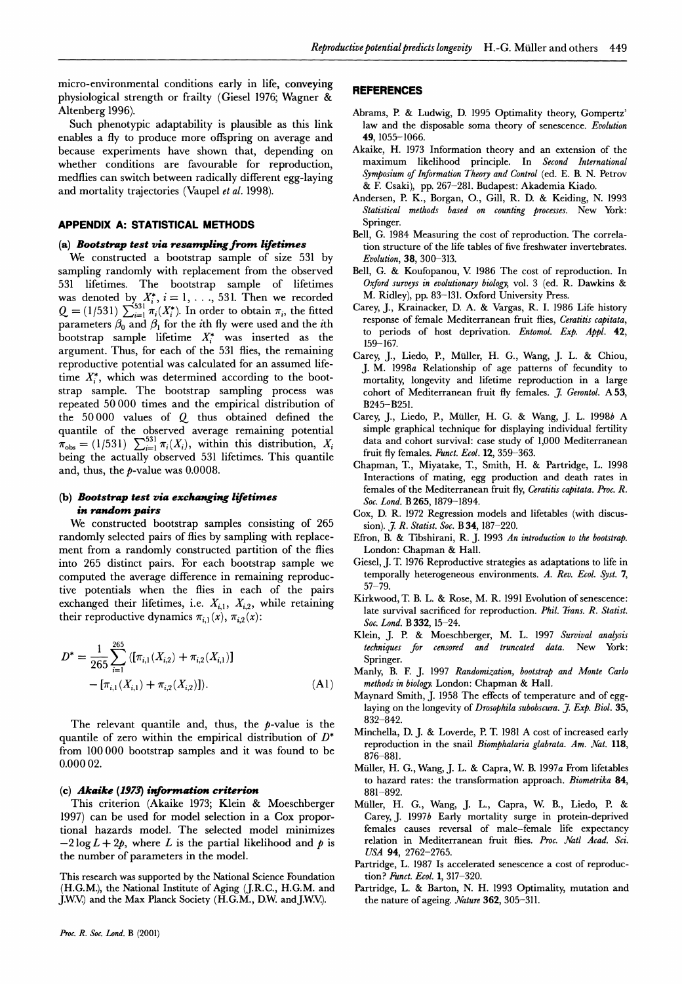**micro-environmental conditions early in life, conveying physiological strength or frailty (Giesel 1976; Wagner & Altenberg 1996).** 

**Such phenotypic adaptability is plausible as this link enables a fly to produce more offispring on average and because experiments have shown that, depending on whether conditions are favourable for reproduction,**  medflies can switch between radically different egg-laying **and mortality trajectories (Vaupel et al. 1998).** 

# **APPENDIX A: STATISTICAL METHODS**

#### **(a) Bootstrap test via resampling from lifetimes**

**We constructed a bootstrap sample of size 531 by sampling randomly with replacement from the observed 531 lifetimes. The bootstrap sample of lifetimes**  was denoted by  $X_i^*$ ,  $i = 1, \ldots, 531$ . Then we recorded  $Q = (1/531) \sum_{i=1}^{531} \pi_i(X_i^*)$ . In order to obtain  $\pi_i$ , the fitted parameters  $\beta_0$  and  $\beta_1$  for the *i*th fly were used and the *i*th bootstrap sample lifetime  $X_i^*$  was inserted as the **argument. Thus, for each of the 531 flies, the remaining reproductive potential was calculated for an assumed lifetime X\*, which was determined according to the bootstrap sample. The bootstrap sampling process was repeated 50000 times and the empirical distribution of the 50 000 values of Q thus obtained defined the quantile of the observed average remaining potential**   $\pi_{obs} = (1/531)$   $\sum_{i=1}^{331} \pi_i(X_i)$ , within this distribution,  $X_i$ **being the actually observed 531 lifetimes. This quantile**  and, thus, the *p*-value was 0.0008.

### **(b) Bootstrap test via exchanging lifetimes**   $\boldsymbol{\mathit{i}}$ n random pairs

**We constructed bootstrap samples consisting of 265 randomly selected pairs of flies by sampling with replacement from a randomly constructed partition of the flies into 265 distinct pairs. For each bootstrap sample we computed the average difference in remaining reproductive potentials when the flies in each of the pairs**  exchanged their lifetimes, i.e.  $X_{i,1}$ ,  $X_{i,2}$ , while retaining their reproductive dynamics  $\pi_{i,1}(x)$ ,  $\pi_{i,2}(x)$ :

$$
D^* = \frac{1}{265} \sum_{i=1}^{265} \left( [\pi_{i,1}(X_{i,2}) + \pi_{i,2}(X_{i,1})] - [\pi_{i,1}(X_{i,1}) + \pi_{i,2}(X_{i,2})] \right).
$$
\n(A1)

**The relevant quantile and, thus, the p-value is the quantile of zero within the empirical distribution of D\* from 100000 bootstrap samples and it was found to be 0.000 02.** 

#### (c) **Akaike (1973) information criterion**

**This criterion (Akaike 1973; Klein & Moeschberger 1997) can be used for model selection in a Cox proportional hazards model. The selected model minimizes**   $-2 \log L + 2p$ , where L is the partial likelihood and p is **the number of parameters in the model.** 

**This research was supported by the National Science Foundation (H.G.M.), the National Institute of Aging (J.R.C., H.G.M. and J.W.V.**) and the Max Planck Society (H.G.M., D.W. and J.W.V.).

#### **REFERENCES**

- **Abrams, P. & Ludwig, D. 1995 Optimality theory, Gompertz' law and the disposable soma theory of senescence. Evolution 49, 1055-1066.**
- **Akaike, H. 1973 Information theory and an extension of the maximum likelihood principle. In Second International Symposium of Information Theory and Control (ed. E. B. N. Petrov & F. Csaki), pp. 267-281. Budapest: Akademia Kiado.**
- **Andersen, P. K., Borgan, O., Gill, R. D. & Keiding, N. 1993 Statistical methods based on counting processes. New York:**  Springer.
- **Bell, G. 1984 Measuring the cost of reproduction. The correlation structure of the life tables of five freshwater invertebrates.**  Evolution, 38, 300-313.
- Bell, G. & Koufopanou, V. 1986 The cost of reproduction. In **Oxford surveys in evolutionary biology, vol. 3 (ed. R. Dawkins & M. Ridley), pp. 83-131. Oxford University Press.**
- **Carey, J., Krainacker, D. A. & Vargas, R. I. 1986 Life history response of female Mediterranean fruit flies, Ceratitis capitata, to periods of host deprivation. Entomol. Exp. Appl. 42, 159-167.**
- **Carey, J., Liedo, P., Muller, H. G., Wang, J. L. & Chiou, J. M. 1998a Relationship of age patterns of fecundity to mortality, longevity and lifetime reproduction in a large cohort of Mediterranean fruit fly females. 7. Gerontol. A53, B245-B251.**
- **Carey, J., Liedo, P., Muller, H. G. & Wang, J. L. 1998b A simple graphical technique for displaying individual fertility data and cohort survival: case study of 1,000 Mediterranean fruit fly females. Funct. Ecol. 12, 359-363.**
- **Chapman, T., Miyatake, T., Smith, H. & Partridge, L. 1998 Interactions of mating, egg production and death rates in females of the Mediterranean fruit fly, Ceratitis capitata. Proc. R. Soc. Lond. B 265, 1879-1894.**
- **Cox, D. R. 1972 Regression models and lifetables (with discussion). }. R. Statist. Soc. B 34, 187-220.**
- **Efron, B. & Tibshirani, R. J. 1993 An introduction to the bootstrap. London: Chapman & Hall.**
- **Giesel, J. T. 1976 Reproductive strategies as adaptations to life in temporally heterogeneous environments. A. Rev. Ecol. Syst. 7, 57-79.**
- **Kirkwood, T. B. L. & Rose, M. R. 1991 Evolution of senescence:**  late survival sacrificed for reproduction. Phil. Trans. R. Statist. **Soc. Lond. B 332, 15-24.**
- **Klein, J. P. & Moeschberger, M. L. 1997 Survival analysis techniques for censored and truncated data. New York: Spring**
- **Manly, B. F. J. 1997 Randomization, bootstrap and Monte Carlo**  methods in biology. London: Chapman & Hall.
- **Maynard Smith, J. 1958 The effects of temperature and of egglaying on the longevity of Drosophila subobscura. 7. Exp. Biol. 35, 832-842.**
- **Minchella, D. J. & Loverde, P. T. 1981 A cost of increased early**  reproduction in the snail *Biomphalaria glabrata. Am. Nat.* 118, **876-881.**
- **Muller, H. G., Wang, J. L. & Capra, W. B. 1997a From lifetables to hazard rates: the transformation approach. Biometrika 84, 881-892.**
- **Muller, H. G., Wang, J. L., Capra, W. B., Liedo, P. & Carey,J. 1997b Early mortality surge in protein-deprived females causes reversal of male-female life expectancy**  relation in Mediterranean fruit flies. Proc. Natl Acad. Sci. **USA 94, 2762-2765.**
- **Partridge, L. 1987 Is accelerated senescence a cost of reproduction? Funct. Ecol. 1, 317-320.**
- **Partridge, L. & Barton, N. H. 1993 Optimality, mutation and the nature of ageing. Aature 362, 305-311.**